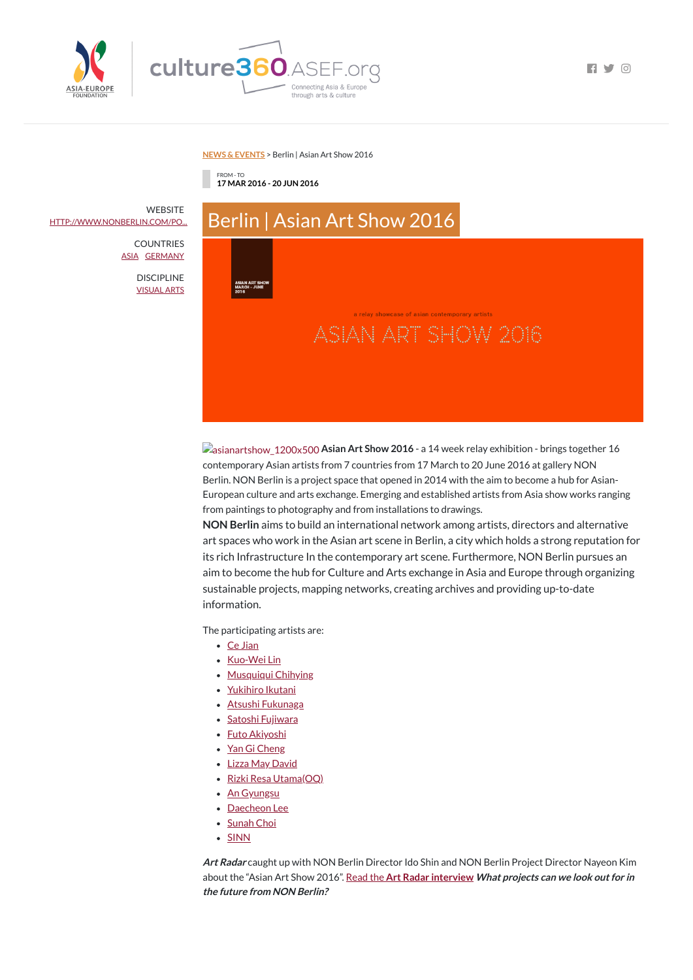

 $\blacksquare$ 

#### **NEWS & [EVENTS](https://culture360.asef.org/news-events/)** > Berlin | Asian Art Show 2016

FROM - TO **17 MAR 2016 - 20 JUN 2016**

| <br>Berlin   Asian Art Show 2016                     |                                                                       |
|------------------------------------------------------|-----------------------------------------------------------------------|
|                                                      |                                                                       |
| <b>ASIAN ART SHOW</b><br><b>MARCH - JUNE</b><br>2016 |                                                                       |
|                                                      | a relay showcase of asian contemporary artists<br>ASIAN ART SHOW 2016 |
|                                                      |                                                                       |
|                                                      |                                                                       |
|                                                      |                                                                       |

**Assianartshow** 1200x500 **Asian Art Show 2016** - a 14 week relay exhibition - brings together 16 contemporary Asian artists from 7 countries from 17 March to 20 June 2016 at gallery NON Berlin. NON Berlin is a project space that opened in 2014 with the aim to become a hub for Asian-European culture and arts exchange. Emerging and established artists from Asia show works ranging from paintings to photography and from installations to drawings.

- Ce [Jian](http://www.cejian.de/)
- [Kuo-Wei](http://www.kuoweilin.net/) Lin
- [Musquiqui](http://www.musquiquiabout.blogspot.de/) Chihying
- [Yukihiro](http://sankomedicalart.de/yukihiro_ikutani.html) Ikutani
- Atsushi [Fukunaga](http://www.atsushifukunaga.com/)
- Satoshi [Fujiwara](http://www.satoshi-fujiwara.com/)
- Futo [Akiyoshi](http://www.futoakiyoshi.com/)
- Yan Gi [Cheng](http://www.yangicheng.tumblr.com/)
- Lizza May [David](http://www.lizzamaydavid.com/)
- Rizki Resa [Utama\(OQ\)](http://www.oqutama.info/)
- An [Gyungsu](http://www.angyungsu.com/)
- [Daecheon](http://www.daecheonlee.com/) Lee
- [Sunah](http://www.sunahchoi.net/) Choi
- [SINN](http://www.sinn-art.com/)

**WEBSITE** [HTTP://WWW.NONBERLIN.COM/PO...](http://www.nonberlin.com/portfolio_page/asianartshow2016/)

> **COUNTRIES** [ASIA](https://culture360.asef.org/countries/asia/) [GERMANY](https://culture360.asef.org/countries/germany/)

> > **DISCIPLINE** [VISUAL](https://culture360.asef.org/disciplines/visual-arts/) ARTS

> > > **NON Berlin** aims to build an international network among artists, directors and alternative art spaces who work in the Asian art scene in Berlin, a city which holds a strong reputation for its rich Infrastructure In the contemporary art scene. Furthermore, NON Berlin pursues an aim to become the hub for Culture and Arts exchange in Asia and Europe through organizing sustainable projects, mapping networks, creating archives and providing up-to-date information.

The participating artists are:

**Art Radar** caught up with NON Berlin Director Ido Shin and NON Berlin Project Director Nayeon Kim about the "Asian Art Show 2016". Read the **Art Radar [interview](http://artradarjournal.com/2016/04/24/asian-art-show-2016-non-berlin-as-a-hub-for-contemporary-asian-art-in-europe-interview/) What projects can we look outfor in the future from NON Berlin?**